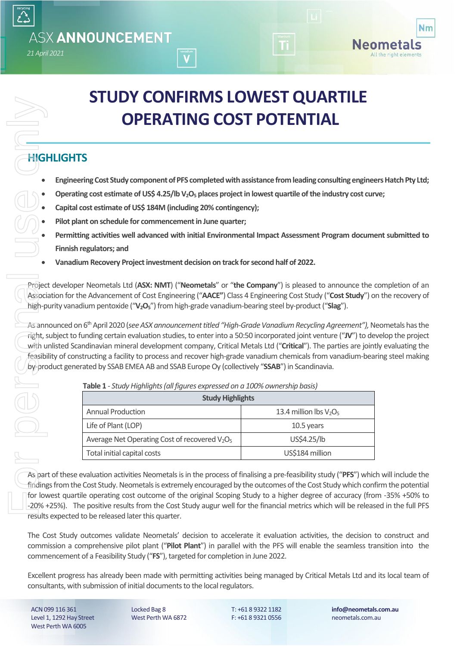# **STUDY CONFIRMS LOWEST QUARTILE OPERATING COST POTENTIAL**

# **HIGHLIGHTS**

*21 April 2021*

**ASX ANNOUNCEMENT** 

- **Engineering Cost Study component of PFS completedwith assistance from leading consulting engineers Hatch Pty Ltd;**
- **Operating cost estimate of US\$ 4.25/lb V2O<sup>5</sup> places project in lowest quartile of the industry cost curve;**
- Capital cost estimate of US\$ 184M (including 20% contingency);
- **Pilot plant on schedule for commencement in June quarter;**
- **Permitting activities well advanced with initial Environmental Impact Assessment Program document submitted to Finnish regulators; and**
- **Vanadium Recovery Project investment decision on track for second half of 2022.**

Project developer Neometals Ltd (**ASX: NMT**) ("**Neometals**" or "**the Company**") is pleased to announce the completion of an Association for the Advancement of Cost Engineering ("**AACE"**) Class 4 Engineering Cost Study ("**Cost Study**") on the recovery of high-purity vanadium pentoxide ("**V2O5**") from high-grade vanadium-bearing steel by-product ("**Slag**").

<span id="page-0-0"></span>As announced on 6<sup>th</sup> April 2020 (*see ASX announcement titled "High-Grade Vanadium Recycling Agreement")*, Neometals has the right, subject to funding certain evaluation studies, to enter into a 50:50 incorporated joint venture ("**JV**") to develop the project with unlisted Scandinavian mineral development company, Critical Metals Ltd ("**Critical**"). The parties are jointly evaluating the feasibility of constructing a facility to process and recover high-grade vanadium chemicals from vanadium-bearing steel making by-product generated by SSAB EMEA AB and SSAB Europe Oy (collectively "**SSAB**") in Scandinavia.

|                   | <b>OPERATING COST POTENTIAL</b>                                                                                                                                                                                                                                                                                                                                                                                                                                                                                                                                                  |                           |
|-------------------|----------------------------------------------------------------------------------------------------------------------------------------------------------------------------------------------------------------------------------------------------------------------------------------------------------------------------------------------------------------------------------------------------------------------------------------------------------------------------------------------------------------------------------------------------------------------------------|---------------------------|
| <b>HIGHLIGHTS</b> |                                                                                                                                                                                                                                                                                                                                                                                                                                                                                                                                                                                  |                           |
|                   | Engineering Cost Study component of PFS completed with assistance from leading consulting engine                                                                                                                                                                                                                                                                                                                                                                                                                                                                                 |                           |
|                   | Operating cost estimate of US\$ 4.25/lb V <sub>2</sub> O <sub>5</sub> places project in lowest quartile of the industry cost cu                                                                                                                                                                                                                                                                                                                                                                                                                                                  |                           |
|                   | Capital cost estimate of US\$ 184M (including 20% contingency);                                                                                                                                                                                                                                                                                                                                                                                                                                                                                                                  |                           |
|                   | Pilot plant on schedule for commencement in June quarter;                                                                                                                                                                                                                                                                                                                                                                                                                                                                                                                        |                           |
|                   | Permitting activities well advanced with initial Environmental Impact Assessment Program docum                                                                                                                                                                                                                                                                                                                                                                                                                                                                                   |                           |
|                   | Finnish regulators; and                                                                                                                                                                                                                                                                                                                                                                                                                                                                                                                                                          |                           |
|                   | Vanadium Recovery Project investment decision on track for second half of 2022.                                                                                                                                                                                                                                                                                                                                                                                                                                                                                                  |                           |
|                   |                                                                                                                                                                                                                                                                                                                                                                                                                                                                                                                                                                                  |                           |
|                   | As announced on 6 <sup>th</sup> April 2020 (see ASX announcement titled "High-Grade Vanadium Recycling Agreement"), N<br>right, subject to funding certain evaluation studies, to enter into a 50:50 incorporated joint venture ("JV") to de<br>with unlisted Scandinavian mineral development company, Critical Metals Ltd ("Critical"). The parties are join<br>feasibility of constructing a facility to process and recover high-grade vanadium chemicals from vanadium-bea<br>by-product generated by SSAB EMEA AB and SSAB Europe Oy (collectively "SSAB") in Scandinavia. |                           |
|                   | Table 1 - Study Highlights (all figures expressed on a 100% ownership basis)                                                                                                                                                                                                                                                                                                                                                                                                                                                                                                     |                           |
|                   | <b>Study Highlights</b>                                                                                                                                                                                                                                                                                                                                                                                                                                                                                                                                                          |                           |
|                   | <b>Annual Production</b>                                                                                                                                                                                                                                                                                                                                                                                                                                                                                                                                                         | 13.4 million lbs $V_2O_5$ |
|                   | Life of Plant (LOP)                                                                                                                                                                                                                                                                                                                                                                                                                                                                                                                                                              | 10.5 years<br>US\$4.25/lb |
|                   | Average Net Operating Cost of recovered V <sub>2</sub> O <sub>5</sub><br>Total initial capital costs                                                                                                                                                                                                                                                                                                                                                                                                                                                                             | US\$184 million           |

As part of these evaluation activities Neometalsis in the process of finalising a pre-feasibility study ("**PFS**") which will include the findings from the Cost Study. Neometals is extremely encouraged by the outcomes of the Cost Study which confirm the potential for lowest quartile operating cost outcome of the original Scoping Study to a higher degree of accuracy (from -35% +50% to -20% +25%). The positive results from the Cost Study augur well for the financial metrics which will be released in the full PFS results expected to be released later this quarter.

The Cost Study outcomes validate Neometals' decision to accelerate it evaluation activities, the decision to construct and commission a comprehensive pilot plant ("**Pilot Plant**") in parallel with the PFS will enable the seamless transition into the commencement of a Feasibility Study ("**FS**"), targeted for completion in June 2022.

Excellent progress has already been made with permitting activities being managed by Critical Metals Ltd and its local team of

ACN 099 116 361 Level 1, 1292 Hay Street West Perth WA 6005

Locked Bag 8 West Perth WA 6872 T: +61 8 9322 1182 F: +61 8 9321 0556

**info@neometals.com.au** neometals.com.au

**Nm** 

Neometals All the right elements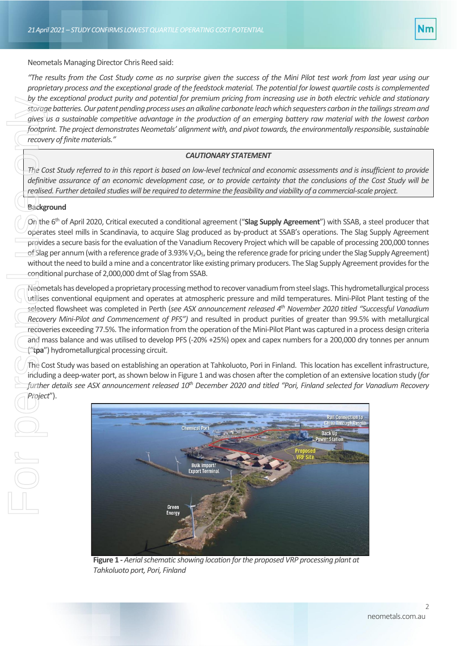

# *NEOMETALS STRENGTHENS BOARD AHEAD OF DEMERGER*  Neometals Managing Director Chris Reed said:

*–NEOMETALS STRENGTHENS BOARD AHEAD OF DEMERGER* 

*"The results from the Cost Study come as no surprise given the success of the Mini Pilot test work from last year using our proprietary process and the exceptional grade of the feedstock material. The potential for lowest quartile costs is complemented by the exceptional product purity and potential for premium pricing from increasing use in both electric vehicle and stationary storage batteries. Our patent pending process uses an alkaline carbonate leach which sequesters carbon in the tailings stream and gives us a sustainable competitive advantage in the production of an emerging battery raw material with the lowest carbon footprint. The project demonstrates Neometals' alignment with, and pivot towards, the environmentally responsible, sustainable recovery of finite materials."*

#### *CAUTIONARY STATEMENT*

*The Cost Study referred to in this report is based on low-level technical and economic assessments and is insufficient to provide definitive assurance of an economic development case, or to provide certainty that the conclusions of the Cost Study will be realised. Further detailed studies will be required to determine the feasibility and viability of a commercial-scale project.*

#### **Background**

On the 6<sup>th</sup> of April 2020, Critical executed a conditional agreement ("Slag Supply Agreement") with SSAB, a steel producer that operates steel mills in Scandinavia, to acquire Slag produced as by-product at SSAB's operations. The Slag Supply Agreement provides a secure basis for the evaluation of the Vanadium Recovery Project which will be capable of processing 200,000 tonnes of Slag per annum (with a reference grade of 3.93%  $V_2O_5$ , being the reference grade for pricing under the Slag Supply Agreement) without the need to build a mine and a concentrator like existing primary producers. The Slag Supply Agreement provides for the conditional purchase of 2,000,000 dmt of Slag from SSAB.

Neometals has developed a proprietary processing method to recover vanadium from steel slags. This hydrometallurgical process utilises conventional equipment and operates at atmospheric pressure and mild temperatures. Mini-Pilot Plant testing of the selected flowsheet was completed in Perth (*see ASX announcement released 4 th November 2020 titled "Successful Vanadium Recovery Mini-Pilot and Commencement of PFS")* and resulted in product purities of greater than 99.5% with metallurgical recoveries exceeding 77.5%. The information from the operation of the Mini-Pilot Plant was captured in a process design criteria and mass balance and was utilised to develop PFS (-20% +25%) opex and capex numbers for a 200,000 dry tonnes per annum ("**tpa**") hydrometallurgical processing circuit. by the<br>storag<br>gives if<br>footpr.<br>recove<br>footpr.<br>recove<br>definit realise<br>Backg<br>On the operat<br>provid<br>of Slag<br>withou<br>condit<br>Neom<br>diffuses<br>select<br>Recove<br>recove<br>and m<br>funal manarity<br>fund if<br>fund if<br>fund if<br>fund if<br>fund if<br>fund if

The Cost Study was based on establishing an operation at Tahkoluoto, Pori in Finland. This location has excellent infrastructure, including a deep-water port, as shown below in Figure 1 and was chosen after the completion of an extensive location study (*for further details see ASX announcement released 10th December 2020 and titled "Pori, Finland selected for Vanadium Recovery Project*").



**Figure 1 -** *Aerial schematic showing location for the proposed VRP processing plant at Tahkoluoto port, Pori, Finland*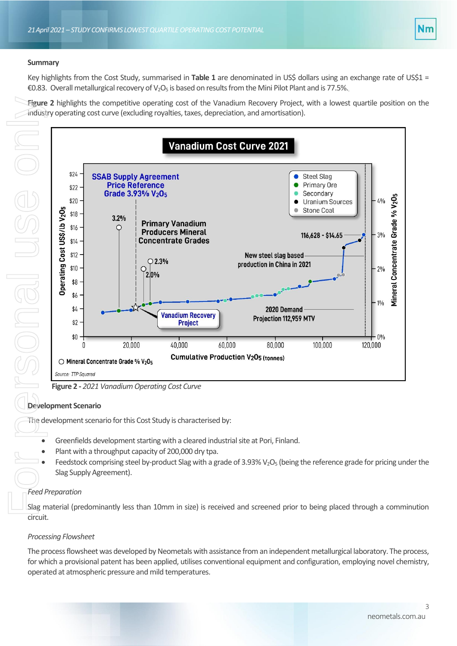

#### *NEOMETALS STRENGTHENS BOARD AHEAD OF DEMERGER*  **Summary**

Key highlights from the Cost Study, summarised in **[Table 1](#page-0-0)** are denominated in US\$ dollars using an exchange rate of US\$1 = €0.83. Overall metallurgical recovery of V<sub>2</sub>O<sub>5</sub> is based on results from the Mini Pilot Plant and is 77.5%.

**[Figure 2](#page-2-0)** highlights the competitive operating cost of the Vanadium Recovery Project, with a lowest quartile position on the industry operating cost curve (excluding royalties, taxes, depreciation, and amortisation).



# <span id="page-2-0"></span>**Development Scenario**

The development scenario for this Cost Study is characterised by:

- Greenfields development starting with a cleared industrial site at Pori, Finland.
- Plant with a throughput capacity of 200,000 dry tpa.
- Feedstock comprising steel by-product Slag with a grade of 3.93%  $V_2O_5$  (being the reference grade for pricing under the Slag Supply Agreement).

# *Feed Preparation*

Slag material (predominantly less than 10mm in size) is received and screened prior to being placed through a comminution circuit.

# *Processing Flowsheet*

The process flowsheet was developed by Neometals with assistance from an independent metallurgical laboratory. The process, for which a provisional patent has been applied, utilises conventional equipment and configuration, employing novel chemistry,

3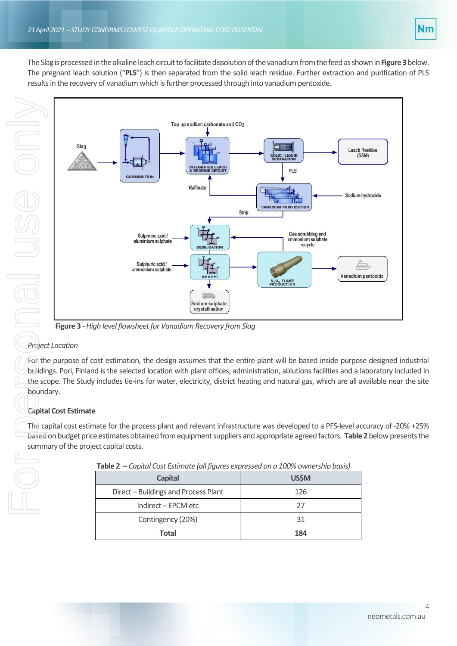

The Slag is processed in the alkaline leach circuit to facilitate dissolution of the vanadium from the feed as shown in **[Figure 3](#page-3-0)** below. The pregnant leach solution ("**PLS**") is then separated from the solid leach residue. Further extraction and purification of PLS results in the recovery of vanadium which is further processed through into vanadium pentoxide.



# <span id="page-3-0"></span>*Project Location*

For the purpose of cost estimation, the design assumes that the entire plant will be based inside purpose designed industrial buildings. Pori, Finland is the selected location with plant offices, administration, ablutions facilities and a laboratory included in the scope. The Study includes tie-ins for water, electricity, district heating and natural gas, which are all available near the site boundary.

# **Capital Cost Estimate**

<span id="page-3-1"></span>The capital cost estimate for the process plant and relevant infrastructure was developed to a PFS-level accuracy of -20% +25% based on budget price estimates obtained from equipment suppliers and appropriate agreed factors. **[Table 2](#page-3-1)** below presents the summary of the project capital costs.

| <b>Capital</b>                       | <b>US\$M</b> |
|--------------------------------------|--------------|
| Direct – Buildings and Process Plant | 126          |
| Indirect - EPCM etc                  | 27           |
| Contingency (20%)                    | 31           |
| Total                                | 184          |

**Table 2 –** *Capital Cost Estimate (all figures expressed on a 100% ownership basis)*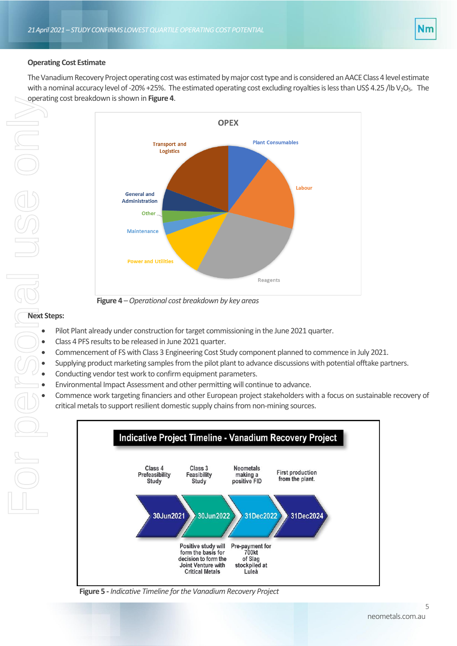# **Operating Cost Estimate**

The Vanadium Recovery Project operating cost was estimated by major cost type and is considered an AACE Class 4 level estimate with a nominal accuracy level of -20% +25%. The estimated operating cost excluding royalties is less than US\$ 4.25 /lb V<sub>2</sub>O<sub>5</sub>. The operating cost breakdown is shown in **[Figure 4](#page-4-0)**.



**Figure 4** –*Operational cost breakdown by key areas*

# <span id="page-4-0"></span>**Next Steps:**

- Pilot Plant already under construction for target commissioning in the June 2021 quarter.
- Class 4 PFS results to be released in June 2021 quarter.
- Commencement of FS with Class 3 Engineering Cost Study component planned to commence in July 2021.
- Supplying product marketing samples from the pilot plant to advance discussions with potential offtake partners.
- Conducting vendor test work to confirm equipment parameters.
- Environmental Impact Assessment and other permitting will continue to advance.
- Commence work targeting financiers and other European project stakeholders with a focus on sustainable recovery of critical metals to support resilient domestic supply chains from non-mining sources.



**Figure 5 -** *Indicative Timeline for the Vanadium Recovery Project*